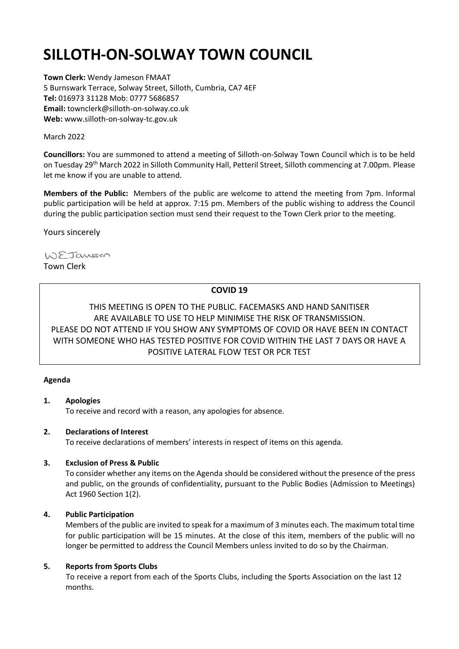# **SILLOTH-ON-SOLWAY TOWN COUNCIL**

**Town Clerk:** Wendy Jameson FMAAT 5 Burnswark Terrace, Solway Street, Silloth, Cumbria, CA7 4EF **Tel:** 016973 31128 Mob: 0777 5686857 **Email:** townclerk@silloth-on-solway.co.uk **Web:** www.silloth-on-solway-tc.gov.uk

#### March 2022

**Councillors:** You are summoned to attend a meeting of Silloth-on-Solway Town Council which is to be held on Tuesday 29th March 2022 in Silloth Community Hall, Petteril Street, Silloth commencing at 7.00pm. Please let me know if you are unable to attend.

**Members of the Public:** Members of the public are welcome to attend the meeting from 7pm. Informal public participation will be held at approx. 7:15 pm. Members of the public wishing to address the Council during the public participation section must send their request to the Town Clerk prior to the meeting.

Yours sincerely

WEJansson Town Clerk

# **COVID 19**

THIS MEETING IS OPEN TO THE PUBLIC. FACEMASKS AND HAND SANITISER ARE AVAILABLE TO USE TO HELP MINIMISE THE RISK OF TRANSMISSION. PLEASE DO NOT ATTEND IF YOU SHOW ANY SYMPTOMS OF COVID OR HAVE BEEN IN CONTACT WITH SOMEONE WHO HAS TESTED POSITIVE FOR COVID WITHIN THE LAST 7 DAYS OR HAVE A POSITIVE LATERAL FLOW TEST OR PCR TEST

#### **Agenda**

# **1. Apologies**

To receive and record with a reason, any apologies for absence.

#### **2. Declarations of Interest**

To receive declarations of members' interests in respect of items on this agenda.

#### **3. Exclusion of Press & Public**

To consider whether any items on the Agenda should be considered without the presence of the press and public, on the grounds of confidentiality, pursuant to the Public Bodies (Admission to Meetings) Act 1960 Section 1(2).

# **4. Public Participation**

Members of the public are invited to speak for a maximum of 3 minutes each. The maximum total time for public participation will be 15 minutes. At the close of this item, members of the public will no longer be permitted to address the Council Members unless invited to do so by the Chairman.

# **5. Reports from Sports Clubs**

To receive a report from each of the Sports Clubs, including the Sports Association on the last 12 months.